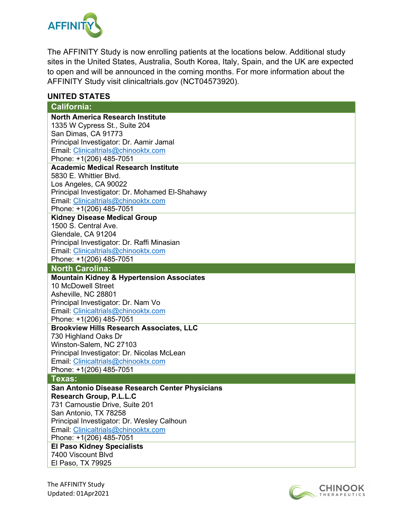

The AFFINITY Study is now enrolling patients at the locations below. Additional study sites in the United States, Australia, South Korea, Italy, Spain, and the UK are expected to open and will be announced in the coming months. For more information about the AFFINITY Study visit clinicaltrials.gov (NCT04573920).

## **UNITED STATES**

| <b>California:</b>                                   |
|------------------------------------------------------|
| <b>North America Research Institute</b>              |
| 1335 W Cypress St., Suite 204                        |
| San Dimas, CA 91773                                  |
| Principal Investigator: Dr. Aamir Jamal              |
| Email: Clinicaltrials@chinooktx.com                  |
| Phone: +1(206) 485-7051                              |
| <b>Academic Medical Research Institute</b>           |
| 5830 E. Whittier Blvd.                               |
| Los Angeles, CA 90022                                |
| Principal Investigator: Dr. Mohamed El-Shahawy       |
| Email: Clinicaltrials@chinooktx.com                  |
| Phone: +1(206) 485-7051                              |
| <b>Kidney Disease Medical Group</b>                  |
| 1500 S. Central Ave.                                 |
| Glendale, CA 91204                                   |
| Principal Investigator: Dr. Raffi Minasian           |
| Email: Clinicaltrials@chinooktx.com                  |
| Phone: +1(206) 485-7051<br><b>North Carolina:</b>    |
| <b>Mountain Kidney &amp; Hypertension Associates</b> |
| 10 McDowell Street                                   |
| Asheville, NC 28801                                  |
| Principal Investigator: Dr. Nam Vo                   |
| Email: Clinicaltrials@chinooktx.com                  |
| Phone: +1(206) 485-7051                              |
| <b>Brookview Hills Research Associates, LLC</b>      |
| 730 Highland Oaks Dr                                 |
| Winston-Salem, NC 27103                              |
| Principal Investigator: Dr. Nicolas McLean           |
| Email: Clinicaltrials@chinooktx.com                  |
| Phone: +1(206) 485-7051                              |
| Texas:                                               |
| San Antonio Disease Research Center Physicians       |
| Research Group, P.L.L.C                              |
| 731 Carnoustie Drive, Suite 201                      |
| San Antonio, TX 78258                                |
| Principal Investigator: Dr. Wesley Calhoun           |
| Email: Clinicaltrials@chinooktx.com                  |
| Phone: +1(206) 485-7051                              |
| <b>El Paso Kidney Specialists</b>                    |
| 7400 Viscount Blvd                                   |
| El Paso, TX 79925                                    |
|                                                      |

The AFFINITY Study Updated: 01Apr2021